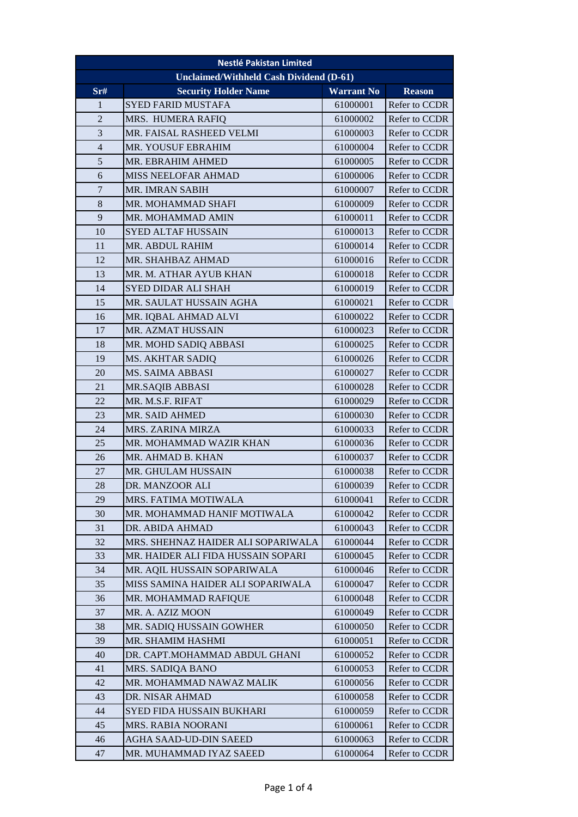| <b>Nestlé Pakistan Limited</b> |                                                |                   |               |  |  |
|--------------------------------|------------------------------------------------|-------------------|---------------|--|--|
|                                | <b>Unclaimed/Withheld Cash Dividend (D-61)</b> |                   |               |  |  |
| Sr#                            | <b>Security Holder Name</b>                    | <b>Warrant No</b> | <b>Reason</b> |  |  |
| 1                              | <b>SYED FARID MUSTAFA</b>                      | 61000001          | Refer to CCDR |  |  |
| $\overline{2}$                 | MRS. HUMERA RAFIQ                              | 61000002          | Refer to CCDR |  |  |
| 3                              | MR. FAISAL RASHEED VELMI                       | 61000003          | Refer to CCDR |  |  |
| $\overline{4}$                 | <b>MR. YOUSUF EBRAHIM</b>                      | 61000004          | Refer to CCDR |  |  |
| $\sqrt{5}$                     | MR. EBRAHIM AHMED                              | 61000005          | Refer to CCDR |  |  |
| 6                              | MISS NEELOFAR AHMAD                            | 61000006          | Refer to CCDR |  |  |
| $\tau$                         | MR. IMRAN SABIH                                | 61000007          | Refer to CCDR |  |  |
| 8                              | MR. MOHAMMAD SHAFI                             | 61000009          | Refer to CCDR |  |  |
| 9                              | MR. MOHAMMAD AMIN                              | 61000011          | Refer to CCDR |  |  |
| 10                             | <b>SYED ALTAF HUSSAIN</b>                      | 61000013          | Refer to CCDR |  |  |
| 11                             | MR. ABDUL RAHIM                                | 61000014          | Refer to CCDR |  |  |
| 12                             | MR. SHAHBAZ AHMAD                              | 61000016          | Refer to CCDR |  |  |
| 13                             | MR. M. ATHAR AYUB KHAN                         | 61000018          | Refer to CCDR |  |  |
| 14                             | SYED DIDAR ALI SHAH                            | 61000019          | Refer to CCDR |  |  |
| 15                             | MR. SAULAT HUSSAIN AGHA                        | 61000021          | Refer to CCDR |  |  |
| 16                             | MR. IQBAL AHMAD ALVI                           | 61000022          | Refer to CCDR |  |  |
| 17                             | <b>MR. AZMAT HUSSAIN</b>                       | 61000023          | Refer to CCDR |  |  |
| 18                             | MR. MOHD SADIQ ABBASI                          | 61000025          | Refer to CCDR |  |  |
| 19                             | MS. AKHTAR SADIQ                               | 61000026          | Refer to CCDR |  |  |
| 20                             | MS. SAIMA ABBASI                               | 61000027          | Refer to CCDR |  |  |
| 21                             | MR.SAQIB ABBASI                                | 61000028          | Refer to CCDR |  |  |
| 22                             | MR. M.S.F. RIFAT                               | 61000029          | Refer to CCDR |  |  |
| 23                             | <b>MR. SAID AHMED</b>                          | 61000030          | Refer to CCDR |  |  |
| 24                             | MRS. ZARINA MIRZA                              | 61000033          | Refer to CCDR |  |  |
| 25                             | MR. MOHAMMAD WAZIR KHAN                        | 61000036          | Refer to CCDR |  |  |
| 26                             | MR. AHMAD B. KHAN                              | 61000037          | Refer to CCDR |  |  |
| 27                             | MR. GHULAM HUSSAIN                             | 61000038          | Refer to CCDR |  |  |
| 28                             | DR. MANZOOR ALI                                | 61000039          | Refer to CCDR |  |  |
| 29                             | MRS. FATIMA MOTIWALA                           | 61000041          | Refer to CCDR |  |  |
| 30                             | MR. MOHAMMAD HANIF MOTIWALA                    | 61000042          | Refer to CCDR |  |  |
| 31                             | DR. ABIDA AHMAD                                | 61000043          | Refer to CCDR |  |  |
| 32                             | MRS. SHEHNAZ HAIDER ALI SOPARIWALA             | 61000044          | Refer to CCDR |  |  |
| 33                             | MR. HAIDER ALI FIDA HUSSAIN SOPARI             | 61000045          | Refer to CCDR |  |  |
| 34                             | MR. AQIL HUSSAIN SOPARIWALA                    | 61000046          | Refer to CCDR |  |  |
| 35                             | MISS SAMINA HAIDER ALI SOPARIWALA              | 61000047          | Refer to CCDR |  |  |
| 36                             | MR. MOHAMMAD RAFIQUE                           | 61000048          | Refer to CCDR |  |  |
| 37                             | MR. A. AZIZ MOON                               | 61000049          | Refer to CCDR |  |  |
| 38                             | MR. SADIQ HUSSAIN GOWHER                       | 61000050          | Refer to CCDR |  |  |
| 39                             | MR. SHAMIM HASHMI                              | 61000051          | Refer to CCDR |  |  |
| 40                             | DR. CAPT.MOHAMMAD ABDUL GHANI                  | 61000052          | Refer to CCDR |  |  |
| 41                             | MRS. SADIQA BANO                               | 61000053          | Refer to CCDR |  |  |
| 42                             | MR. MOHAMMAD NAWAZ MALIK                       | 61000056          | Refer to CCDR |  |  |
| 43                             | DR. NISAR AHMAD                                | 61000058          | Refer to CCDR |  |  |
| 44                             | SYED FIDA HUSSAIN BUKHARI                      | 61000059          | Refer to CCDR |  |  |
| 45                             | MRS. RABIA NOORANI                             | 61000061          | Refer to CCDR |  |  |
| 46                             | AGHA SAAD-UD-DIN SAEED                         | 61000063          | Refer to CCDR |  |  |
| 47                             | MR. MUHAMMAD IYAZ SAEED                        | 61000064          | Refer to CCDR |  |  |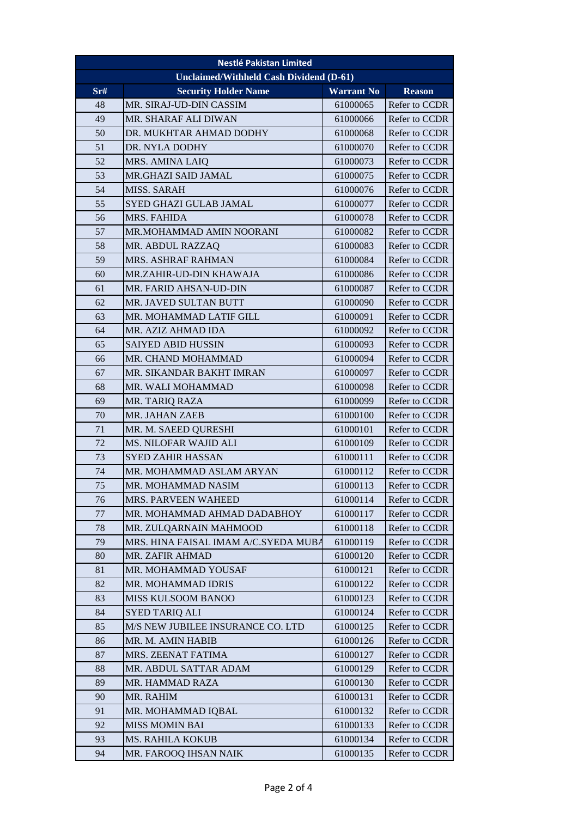| <b>Nestlé Pakistan Limited</b>                 |                                      |                   |               |  |
|------------------------------------------------|--------------------------------------|-------------------|---------------|--|
| <b>Unclaimed/Withheld Cash Dividend (D-61)</b> |                                      |                   |               |  |
| $S$ r#                                         | <b>Security Holder Name</b>          | <b>Warrant No</b> | <b>Reason</b> |  |
| 48                                             | MR. SIRAJ-UD-DIN CASSIM              | 61000065          | Refer to CCDR |  |
| 49                                             | MR. SHARAF ALI DIWAN                 | 61000066          | Refer to CCDR |  |
| 50                                             | DR. MUKHTAR AHMAD DODHY              | 61000068          | Refer to CCDR |  |
| 51                                             | DR. NYLA DODHY                       | 61000070          | Refer to CCDR |  |
| 52                                             | MRS. AMINA LAIQ                      | 61000073          | Refer to CCDR |  |
| 53                                             | MR.GHAZI SAID JAMAL                  | 61000075          | Refer to CCDR |  |
| 54                                             | <b>MISS. SARAH</b>                   | 61000076          | Refer to CCDR |  |
| 55                                             | SYED GHAZI GULAB JAMAL               | 61000077          | Refer to CCDR |  |
| 56                                             | MRS. FAHIDA                          | 61000078          | Refer to CCDR |  |
| 57                                             | MR.MOHAMMAD AMIN NOORANI             | 61000082          | Refer to CCDR |  |
| 58                                             | MR. ABDUL RAZZAQ                     | 61000083          | Refer to CCDR |  |
| 59                                             | MRS. ASHRAF RAHMAN                   | 61000084          | Refer to CCDR |  |
| 60                                             | MR.ZAHIR-UD-DIN KHAWAJA              | 61000086          | Refer to CCDR |  |
| 61                                             | MR. FARID AHSAN-UD-DIN               | 61000087          | Refer to CCDR |  |
| 62                                             | MR. JAVED SULTAN BUTT                | 61000090          | Refer to CCDR |  |
| 63                                             | MR. MOHAMMAD LATIF GILL              | 61000091          | Refer to CCDR |  |
| 64                                             | MR. AZIZ AHMAD IDA                   | 61000092          | Refer to CCDR |  |
| 65                                             | <b>SAIYED ABID HUSSIN</b>            | 61000093          | Refer to CCDR |  |
| 66                                             | MR. CHAND MOHAMMAD                   | 61000094          | Refer to CCDR |  |
| 67                                             | MR. SIKANDAR BAKHT IMRAN             | 61000097          | Refer to CCDR |  |
| 68                                             | MR. WALI MOHAMMAD                    | 61000098          | Refer to CCDR |  |
| 69                                             | MR. TARIQ RAZA                       | 61000099          | Refer to CCDR |  |
| 70                                             | MR. JAHAN ZAEB                       | 61000100          | Refer to CCDR |  |
| 71                                             | MR. M. SAEED QURESHI                 | 61000101          | Refer to CCDR |  |
| 72                                             | MS. NILOFAR WAJID ALI                | 61000109          | Refer to CCDR |  |
| 73                                             | <b>SYED ZAHIR HASSAN</b>             | 61000111          | Refer to CCDR |  |
| 74                                             | MR. MOHAMMAD ASLAM ARYAN             | 61000112          | Refer to CCDR |  |
| 75                                             | MR. MOHAMMAD NASIM                   | 61000113          | Refer to CCDR |  |
| 76                                             | MRS. PARVEEN WAHEED                  | 61000114          | Refer to CCDR |  |
| 77                                             | MR. MOHAMMAD AHMAD DADABHOY          | 61000117          | Refer to CCDR |  |
| 78                                             | MR. ZULQARNAIN MAHMOOD               | 61000118          | Refer to CCDR |  |
| 79                                             | MRS. HINA FAISAL IMAM A/C.SYEDA MUBA | 61000119          | Refer to CCDR |  |
| 80                                             | MR. ZAFIR AHMAD                      | 61000120          | Refer to CCDR |  |
| 81                                             | MR. MOHAMMAD YOUSAF                  | 61000121          | Refer to CCDR |  |
| 82                                             | MR. MOHAMMAD IDRIS                   | 61000122          | Refer to CCDR |  |
| 83                                             | <b>MISS KULSOOM BANOO</b>            | 61000123          | Refer to CCDR |  |
| 84                                             | <b>SYED TARIQ ALI</b>                | 61000124          | Refer to CCDR |  |
| 85                                             | M/S NEW JUBILEE INSURANCE CO. LTD    | 61000125          | Refer to CCDR |  |
| 86                                             | MR. M. AMIN HABIB                    | 61000126          | Refer to CCDR |  |
| 87                                             | MRS. ZEENAT FATIMA                   | 61000127          | Refer to CCDR |  |
| 88                                             | MR. ABDUL SATTAR ADAM                | 61000129          | Refer to CCDR |  |
| 89                                             | MR. HAMMAD RAZA                      | 61000130          | Refer to CCDR |  |
| 90                                             | MR. RAHIM                            | 61000131          | Refer to CCDR |  |
| 91                                             | MR. MOHAMMAD IQBAL                   | 61000132          | Refer to CCDR |  |
| 92                                             | MISS MOMIN BAI                       | 61000133          | Refer to CCDR |  |
| 93                                             | MS. RAHILA KOKUB                     | 61000134          | Refer to CCDR |  |
| 94                                             | MR. FAROOQ IHSAN NAIK                | 61000135          | Refer to CCDR |  |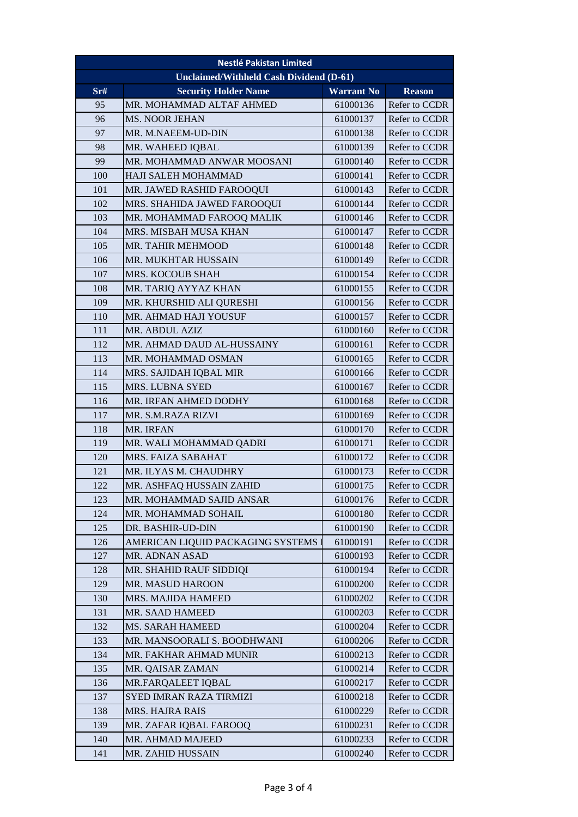| <b>Nestlé Pakistan Limited</b>                 |                                   |                   |                      |  |
|------------------------------------------------|-----------------------------------|-------------------|----------------------|--|
| <b>Unclaimed/Withheld Cash Dividend (D-61)</b> |                                   |                   |                      |  |
| Sr#                                            | <b>Security Holder Name</b>       | <b>Warrant No</b> | <b>Reason</b>        |  |
| 95                                             | MR. MOHAMMAD ALTAF AHMED          | 61000136          | Refer to CCDR        |  |
| 96                                             | <b>MS. NOOR JEHAN</b>             | 61000137          | Refer to CCDR        |  |
| 97                                             | MR. M.NAEEM-UD-DIN                | 61000138          | Refer to CCDR        |  |
| 98                                             | MR. WAHEED IQBAL                  | 61000139          | Refer to CCDR        |  |
| 99                                             | MR. MOHAMMAD ANWAR MOOSANI        | 61000140          | Refer to CCDR        |  |
| 100                                            | HAJI SALEH MOHAMMAD               | 61000141          | Refer to CCDR        |  |
| 101                                            | MR. JAWED RASHID FAROOQUI         | 61000143          | Refer to CCDR        |  |
| 102                                            | MRS. SHAHIDA JAWED FAROOQUI       | 61000144          | Refer to CCDR        |  |
| 103                                            | MR. MOHAMMAD FAROOQ MALIK         | 61000146          | Refer to CCDR        |  |
| 104                                            | MRS. MISBAH MUSA KHAN             | 61000147          | Refer to CCDR        |  |
| 105                                            | MR. TAHIR MEHMOOD                 | 61000148          | Refer to CCDR        |  |
| 106                                            | <b>MR. MUKHTAR HUSSAIN</b>        | 61000149          | <b>Refer to CCDR</b> |  |
| 107                                            | MRS. KOCOUB SHAH                  | 61000154          | Refer to CCDR        |  |
| 108                                            | MR. TARIQ AYYAZ KHAN              | 61000155          | Refer to CCDR        |  |
| 109                                            | MR. KHURSHID ALI QURESHI          | 61000156          | Refer to CCDR        |  |
| 110                                            | MR. AHMAD HAJI YOUSUF             | 61000157          | Refer to CCDR        |  |
| 111                                            | MR. ABDUL AZIZ                    | 61000160          | Refer to CCDR        |  |
| 112                                            | MR. AHMAD DAUD AL-HUSSAINY        | 61000161          | Refer to CCDR        |  |
| 113                                            | MR. MOHAMMAD OSMAN                | 61000165          | Refer to CCDR        |  |
| 114                                            | MRS. SAJIDAH IQBAL MIR            | 61000166          | Refer to CCDR        |  |
| 115                                            | <b>MRS. LUBNA SYED</b>            | 61000167          | Refer to CCDR        |  |
| 116                                            | MR. IRFAN AHMED DODHY             | 61000168          | Refer to CCDR        |  |
| 117                                            | MR. S.M.RAZA RIZVI                | 61000169          | Refer to CCDR        |  |
| 118                                            | <b>MR. IRFAN</b>                  | 61000170          | Refer to CCDR        |  |
| 119                                            | MR. WALI MOHAMMAD QADRI           | 61000171          | Refer to CCDR        |  |
| 120                                            | MRS. FAIZA SABAHAT                | 61000172          | Refer to CCDR        |  |
| 121                                            | MR. ILYAS M. CHAUDHRY             | 61000173          | Refer to CCDR        |  |
| 122                                            | MR. ASHFAQ HUSSAIN ZAHID          | 61000175          | Refer to CCDR        |  |
| 123                                            | MR. MOHAMMAD SAJID ANSAR          | 61000176          | Refer to CCDR        |  |
| 124                                            | MR. MOHAMMAD SOHAIL               | 61000180          | Refer to CCDR        |  |
| 125                                            | DR. BASHIR-UD-DIN                 | 61000190          | Refer to CCDR        |  |
| 126                                            | AMERICAN LIQUID PACKAGING SYSTEMS | 61000191          | Refer to CCDR        |  |
| 127                                            | MR. ADNAN ASAD                    | 61000193          | Refer to CCDR        |  |
| 128                                            | MR. SHAHID RAUF SIDDIQI           | 61000194          | Refer to CCDR        |  |
| 129                                            | MR. MASUD HAROON                  | 61000200          | Refer to CCDR        |  |
| 130                                            | MRS. MAJIDA HAMEED                | 61000202          | Refer to CCDR        |  |
| 131                                            | MR. SAAD HAMEED                   | 61000203          | Refer to CCDR        |  |
| 132                                            | MS. SARAH HAMEED                  | 61000204          | Refer to CCDR        |  |
| 133                                            | MR. MANSOORALI S. BOODHWANI       | 61000206          | Refer to CCDR        |  |
| 134                                            | MR. FAKHAR AHMAD MUNIR            | 61000213          | Refer to CCDR        |  |
| 135                                            | MR. QAISAR ZAMAN                  | 61000214          | Refer to CCDR        |  |
| 136                                            | MR.FARQALEET IQBAL                | 61000217          | Refer to CCDR        |  |
| 137                                            | SYED IMRAN RAZA TIRMIZI           | 61000218          | Refer to CCDR        |  |
| 138                                            | MRS. HAJRA RAIS                   | 61000229          | Refer to CCDR        |  |
| 139                                            | MR. ZAFAR IQBAL FAROOQ            | 61000231          | Refer to CCDR        |  |
| 140                                            | MR. AHMAD MAJEED                  | 61000233          | Refer to CCDR        |  |
| 141                                            | MR. ZAHID HUSSAIN                 | 61000240          | Refer to CCDR        |  |